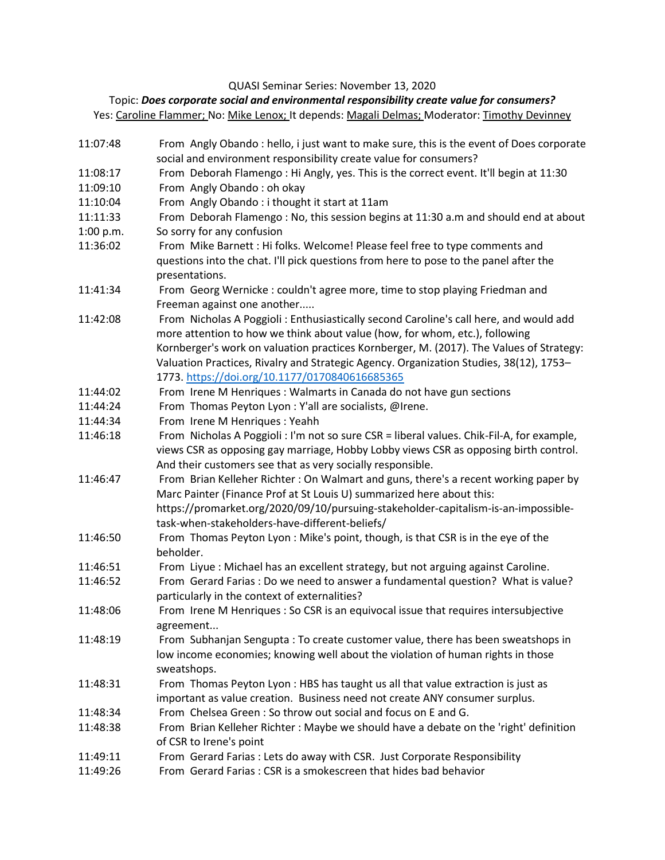QUASI Seminar Series: November 13, 2020

## Topic: *Does corporate social and environmental responsibility create value for consumers?*

Yes[: Caroline Flammer;](https://www.bu.edu/questrom/profile/caroline-flammer/) No[: Mike Lenox;](https://www.darden.virginia.edu/faculty-research/directory/michael-lenox) It depends: [Magali Delmas;](https://www.ioes.ucla.edu/person/magali-delmas/) Moderator[: Timothy Devinney](https://www.research.manchester.ac.uk/portal/timothy.devinney.html)

11:07:48 From Angly Obando : hello, i just want to make sure, this is the event of Does corporate social and environment responsibility create value for consumers? 11:08:17 From Deborah Flamengo : Hi Angly, yes. This is the correct event. It'll begin at 11:30 11:09:10 From Angly Obando : oh okay 11:10:04 From Angly Obando : i thought it start at 11am 11:11:33 From Deborah Flamengo : No, this session begins at 11:30 a.m and should end at about 1:00 p.m. So sorry for any confusion 11:36:02 From Mike Barnett : Hi folks. Welcome! Please feel free to type comments and questions into the chat. I'll pick questions from here to pose to the panel after the presentations. 11:41:34 From Georg Wernicke : couldn't agree more, time to stop playing Friedman and Freeman against one another..... 11:42:08 From Nicholas A Poggioli : Enthusiastically second Caroline's call here, and would add more attention to how we think about value (how, for whom, etc.), following Kornberger's work on valuation practices Kornberger, M. (2017). The Values of Strategy: Valuation Practices, Rivalry and Strategic Agency. Organization Studies, 38(12), 1753– 1773[. https://doi.org/10.1177/0170840616685365](https://doi.org/10.1177/0170840616685365) 11:44:02 From Irene M Henriques : Walmarts in Canada do not have gun sections 11:44:24 From Thomas Peyton Lyon : Y'all are socialists, @Irene. 11:44:34 From Irene M Henriques : Yeahh 11:46:18 From Nicholas A Poggioli : I'm not so sure CSR = liberal values. Chik-Fil-A, for example, views CSR as opposing gay marriage, Hobby Lobby views CSR as opposing birth control. And their customers see that as very socially responsible. 11:46:47 From Brian Kelleher Richter : On Walmart and guns, there's a recent working paper by Marc Painter (Finance Prof at St Louis U) summarized here about this: https://promarket.org/2020/09/10/pursuing-stakeholder-capitalism-is-an-impossibletask-when-stakeholders-have-different-beliefs/ 11:46:50 From Thomas Peyton Lyon : Mike's point, though, is that CSR is in the eye of the beholder. 11:46:51 From Liyue : Michael has an excellent strategy, but not arguing against Caroline. 11:46:52 From Gerard Farias : Do we need to answer a fundamental question? What is value? particularly in the context of externalities? 11:48:06 From Irene M Henriques : So CSR is an equivocal issue that requires intersubjective agreement... 11:48:19 From Subhanjan Sengupta : To create customer value, there has been sweatshops in low income economies; knowing well about the violation of human rights in those sweatshops. 11:48:31 From Thomas Peyton Lyon : HBS has taught us all that value extraction is just as important as value creation. Business need not create ANY consumer surplus. 11:48:34 From Chelsea Green : So throw out social and focus on E and G. 11:48:38 From Brian Kelleher Richter : Maybe we should have a debate on the 'right' definition of CSR to Irene's point 11:49:11 From Gerard Farias : Lets do away with CSR. Just Corporate Responsibility 11:49:26 From Gerard Farias : CSR is a smokescreen that hides bad behavior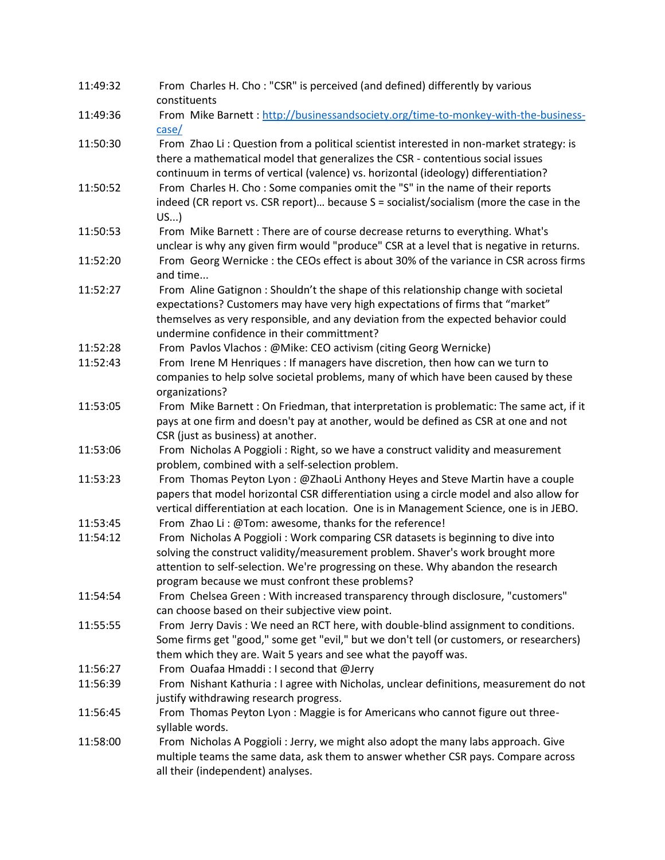| 11:49:32 | From Charles H. Cho: "CSR" is perceived (and defined) differently by various<br>constituents                                                                                                                                                                                                               |
|----------|------------------------------------------------------------------------------------------------------------------------------------------------------------------------------------------------------------------------------------------------------------------------------------------------------------|
| 11:49:36 | From Mike Barnett: http://businessandsociety.org/time-to-monkey-with-the-business-                                                                                                                                                                                                                         |
|          | $\case/$                                                                                                                                                                                                                                                                                                   |
| 11:50:30 | From Zhao Li: Question from a political scientist interested in non-market strategy: is<br>there a mathematical model that generalizes the CSR - contentious social issues<br>continuum in terms of vertical (valence) vs. horizontal (ideology) differentiation?                                          |
| 11:50:52 | From Charles H. Cho: Some companies omit the "S" in the name of their reports<br>indeed (CR report vs. CSR report) because S = socialist/socialism (more the case in the<br>US                                                                                                                             |
| 11:50:53 | From Mike Barnett: There are of course decrease returns to everything. What's<br>unclear is why any given firm would "produce" CSR at a level that is negative in returns.                                                                                                                                 |
| 11:52:20 | From Georg Wernicke : the CEOs effect is about 30% of the variance in CSR across firms<br>and time                                                                                                                                                                                                         |
| 11:52:27 | From Aline Gatignon: Shouldn't the shape of this relationship change with societal<br>expectations? Customers may have very high expectations of firms that "market"<br>themselves as very responsible, and any deviation from the expected behavior could<br>undermine confidence in their committment?   |
| 11:52:28 | From Pavlos Vlachos: @Mike: CEO activism (citing Georg Wernicke)                                                                                                                                                                                                                                           |
| 11:52:43 | From Irene M Henriques : If managers have discretion, then how can we turn to                                                                                                                                                                                                                              |
|          | companies to help solve societal problems, many of which have been caused by these<br>organizations?                                                                                                                                                                                                       |
| 11:53:05 | From Mike Barnett : On Friedman, that interpretation is problematic: The same act, if it<br>pays at one firm and doesn't pay at another, would be defined as CSR at one and not<br>CSR (just as business) at another.                                                                                      |
| 11:53:06 | From Nicholas A Poggioli: Right, so we have a construct validity and measurement<br>problem, combined with a self-selection problem.                                                                                                                                                                       |
| 11:53:23 | From Thomas Peyton Lyon : @ZhaoLi Anthony Heyes and Steve Martin have a couple<br>papers that model horizontal CSR differentiation using a circle model and also allow for<br>vertical differentiation at each location. One is in Management Science, one is in JEBO.                                     |
| 11:53:45 | From Zhao Li: @Tom: awesome, thanks for the reference!                                                                                                                                                                                                                                                     |
| 11:54:12 | From Nicholas A Poggioli: Work comparing CSR datasets is beginning to dive into<br>solving the construct validity/measurement problem. Shaver's work brought more<br>attention to self-selection. We're progressing on these. Why abandon the research<br>program because we must confront these problems? |
| 11:54:54 | From Chelsea Green: With increased transparency through disclosure, "customers"<br>can choose based on their subjective view point.                                                                                                                                                                        |
| 11:55:55 | From Jerry Davis: We need an RCT here, with double-blind assignment to conditions.<br>Some firms get "good," some get "evil," but we don't tell (or customers, or researchers)<br>them which they are. Wait 5 years and see what the payoff was.                                                           |
| 11:56:27 | From Ouafaa Hmaddi: I second that @Jerry                                                                                                                                                                                                                                                                   |
| 11:56:39 | From Nishant Kathuria : I agree with Nicholas, unclear definitions, measurement do not<br>justify withdrawing research progress.                                                                                                                                                                           |
| 11:56:45 | From Thomas Peyton Lyon : Maggie is for Americans who cannot figure out three-<br>syllable words.                                                                                                                                                                                                          |
| 11:58:00 | From Nicholas A Poggioli : Jerry, we might also adopt the many labs approach. Give<br>multiple teams the same data, ask them to answer whether CSR pays. Compare across<br>all their (independent) analyses.                                                                                               |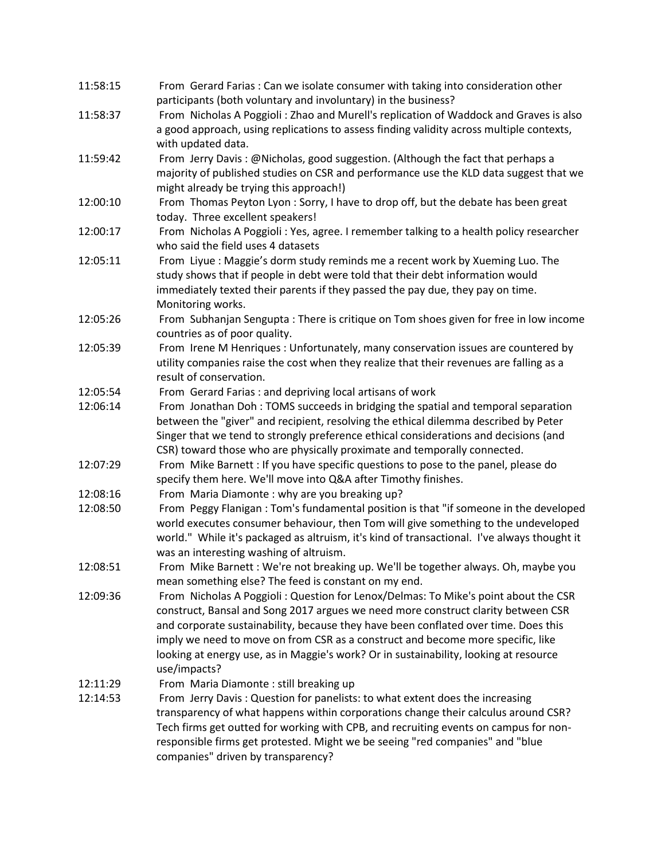| 11:58:15 | From Gerard Farias: Can we isolate consumer with taking into consideration other            |
|----------|---------------------------------------------------------------------------------------------|
|          | participants (both voluntary and involuntary) in the business?                              |
| 11:58:37 | From Nicholas A Poggioli: Zhao and Murell's replication of Waddock and Graves is also       |
|          | a good approach, using replications to assess finding validity across multiple contexts,    |
|          | with updated data.                                                                          |
| 11:59:42 | From Jerry Davis: @Nicholas, good suggestion. (Although the fact that perhaps a             |
|          | majority of published studies on CSR and performance use the KLD data suggest that we       |
|          | might already be trying this approach!)                                                     |
| 12:00:10 |                                                                                             |
|          | From Thomas Peyton Lyon : Sorry, I have to drop off, but the debate has been great          |
|          | today. Three excellent speakers!                                                            |
| 12:00:17 | From Nicholas A Poggioli: Yes, agree. I remember talking to a health policy researcher      |
|          | who said the field uses 4 datasets                                                          |
| 12:05:11 | From Liyue: Maggie's dorm study reminds me a recent work by Xueming Luo. The                |
|          | study shows that if people in debt were told that their debt information would              |
|          | immediately texted their parents if they passed the pay due, they pay on time.              |
|          | Monitoring works.                                                                           |
| 12:05:26 | From Subhanjan Sengupta: There is critique on Tom shoes given for free in low income        |
|          | countries as of poor quality.                                                               |
| 12:05:39 | From Irene M Henriques: Unfortunately, many conservation issues are countered by            |
|          | utility companies raise the cost when they realize that their revenues are falling as a     |
|          | result of conservation.                                                                     |
| 12:05:54 | From Gerard Farias: and depriving local artisans of work                                    |
| 12:06:14 | From Jonathan Doh: TOMS succeeds in bridging the spatial and temporal separation            |
|          | between the "giver" and recipient, resolving the ethical dilemma described by Peter         |
|          | Singer that we tend to strongly preference ethical considerations and decisions (and        |
|          | CSR) toward those who are physically proximate and temporally connected.                    |
| 12:07:29 | From Mike Barnett : If you have specific questions to pose to the panel, please do          |
|          | specify them here. We'll move into Q&A after Timothy finishes.                              |
| 12:08:16 | From Maria Diamonte: why are you breaking up?                                               |
| 12:08:50 | From Peggy Flanigan: Tom's fundamental position is that "if someone in the developed        |
|          |                                                                                             |
|          | world executes consumer behaviour, then Tom will give something to the undeveloped          |
|          | world." While it's packaged as altruism, it's kind of transactional. I've always thought it |
|          | was an interesting washing of altruism.                                                     |
| 12:08:51 | From Mike Barnett: We're not breaking up. We'll be together always. Oh, maybe you           |
|          | mean something else? The feed is constant on my end.                                        |
| 12:09:36 | From Nicholas A Poggioli: Question for Lenox/Delmas: To Mike's point about the CSR          |
|          | construct, Bansal and Song 2017 argues we need more construct clarity between CSR           |
|          | and corporate sustainability, because they have been conflated over time. Does this         |
|          | imply we need to move on from CSR as a construct and become more specific, like             |
|          | looking at energy use, as in Maggie's work? Or in sustainability, looking at resource       |
|          | use/impacts?                                                                                |
| 12:11:29 | From Maria Diamonte : still breaking up                                                     |
| 12:14:53 | From Jerry Davis: Question for panelists: to what extent does the increasing                |
|          | transparency of what happens within corporations change their calculus around CSR?          |
|          | Tech firms get outted for working with CPB, and recruiting events on campus for non-        |
|          | responsible firms get protested. Might we be seeing "red companies" and "blue               |
|          | companies" driven by transparency?                                                          |
|          |                                                                                             |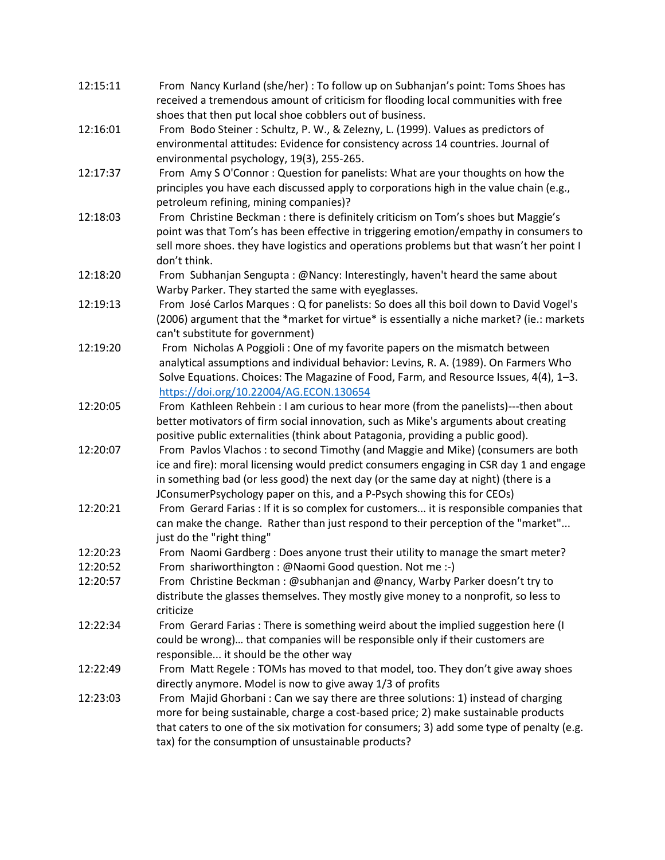| 12:15:11 | From Nancy Kurland (she/her): To follow up on Subhanjan's point: Toms Shoes has<br>received a tremendous amount of criticism for flooding local communities with free |
|----------|-----------------------------------------------------------------------------------------------------------------------------------------------------------------------|
|          | shoes that then put local shoe cobblers out of business.                                                                                                              |
| 12:16:01 | From Bodo Steiner: Schultz, P. W., & Zelezny, L. (1999). Values as predictors of                                                                                      |
|          | environmental attitudes: Evidence for consistency across 14 countries. Journal of                                                                                     |
|          | environmental psychology, 19(3), 255-265.                                                                                                                             |
| 12:17:37 | From Amy S O'Connor: Question for panelists: What are your thoughts on how the                                                                                        |
|          | principles you have each discussed apply to corporations high in the value chain (e.g.,                                                                               |
|          | petroleum refining, mining companies)?                                                                                                                                |
| 12:18:03 | From Christine Beckman : there is definitely criticism on Tom's shoes but Maggie's                                                                                    |
|          | point was that Tom's has been effective in triggering emotion/empathy in consumers to                                                                                 |
|          | sell more shoes. they have logistics and operations problems but that wasn't her point I                                                                              |
|          | don't think.                                                                                                                                                          |
| 12:18:20 | From Subhanjan Sengupta: @Nancy: Interestingly, haven't heard the same about                                                                                          |
|          | Warby Parker. They started the same with eyeglasses.                                                                                                                  |
| 12:19:13 | From José Carlos Marques : Q for panelists: So does all this boil down to David Vogel's                                                                               |
|          | (2006) argument that the *market for virtue* is essentially a niche market? (ie.: markets                                                                             |
|          | can't substitute for government)                                                                                                                                      |
| 12:19:20 | From Nicholas A Poggioli: One of my favorite papers on the mismatch between                                                                                           |
|          | analytical assumptions and individual behavior: Levins, R. A. (1989). On Farmers Who                                                                                  |
|          | Solve Equations. Choices: The Magazine of Food, Farm, and Resource Issues, 4(4), 1-3.                                                                                 |
|          |                                                                                                                                                                       |
|          | https://doi.org/10.22004/AG.ECON.130654                                                                                                                               |
| 12:20:05 | From Kathleen Rehbein : I am curious to hear more (from the panelists)---then about                                                                                   |
|          | better motivators of firm social innovation, such as Mike's arguments about creating                                                                                  |
|          | positive public externalities (think about Patagonia, providing a public good).                                                                                       |
| 12:20:07 | From Pavlos Vlachos: to second Timothy (and Maggie and Mike) (consumers are both                                                                                      |
|          | ice and fire): moral licensing would predict consumers engaging in CSR day 1 and engage                                                                               |
|          | in something bad (or less good) the next day (or the same day at night) (there is a                                                                                   |
|          | JConsumerPsychology paper on this, and a P-Psych showing this for CEOs)                                                                                               |
| 12:20:21 | From Gerard Farias : If it is so complex for customers it is responsible companies that                                                                               |
|          | can make the change. Rather than just respond to their perception of the "market"                                                                                     |
|          | just do the "right thing"                                                                                                                                             |
| 12:20:23 | From Naomi Gardberg : Does anyone trust their utility to manage the smart meter?                                                                                      |
| 12:20:52 | From shariworthington: @Naomi Good question. Not me :-)                                                                                                               |
| 12:20:57 | From Christine Beckman: @subhanjan and @nancy, Warby Parker doesn't try to                                                                                            |
|          | distribute the glasses themselves. They mostly give money to a nonprofit, so less to                                                                                  |
|          | criticize                                                                                                                                                             |
| 12:22:34 | From Gerard Farias: There is something weird about the implied suggestion here (I                                                                                     |
|          | could be wrong) that companies will be responsible only if their customers are                                                                                        |
|          | responsible it should be the other way                                                                                                                                |
| 12:22:49 | From Matt Regele: TOMs has moved to that model, too. They don't give away shoes                                                                                       |
|          | directly anymore. Model is now to give away 1/3 of profits                                                                                                            |
| 12:23:03 | From Majid Ghorbani: Can we say there are three solutions: 1) instead of charging                                                                                     |
|          | more for being sustainable, charge a cost-based price; 2) make sustainable products                                                                                   |
|          | that caters to one of the six motivation for consumers; 3) add some type of penalty (e.g.                                                                             |
|          | tax) for the consumption of unsustainable products?                                                                                                                   |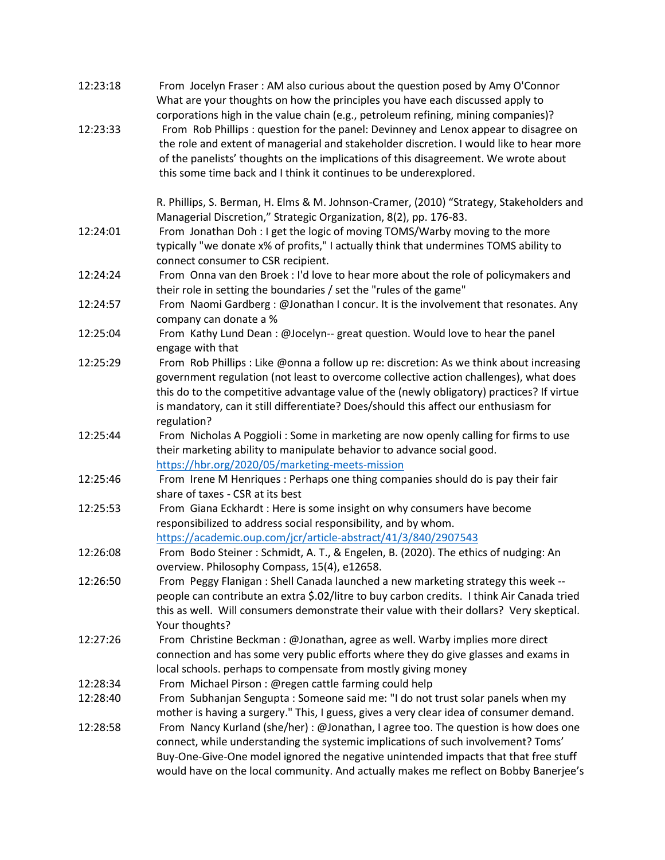| 12:23:18 | From Jocelyn Fraser: AM also curious about the question posed by Amy O'Connor<br>What are your thoughts on how the principles you have each discussed apply to                                                                                                                                                                                                                                                                   |
|----------|----------------------------------------------------------------------------------------------------------------------------------------------------------------------------------------------------------------------------------------------------------------------------------------------------------------------------------------------------------------------------------------------------------------------------------|
| 12:23:33 | corporations high in the value chain (e.g., petroleum refining, mining companies)?<br>From Rob Phillips: question for the panel: Devinney and Lenox appear to disagree on<br>the role and extent of managerial and stakeholder discretion. I would like to hear more<br>of the panelists' thoughts on the implications of this disagreement. We wrote about<br>this some time back and I think it continues to be underexplored. |
|          | R. Phillips, S. Berman, H. Elms & M. Johnson-Cramer, (2010) "Strategy, Stakeholders and<br>Managerial Discretion," Strategic Organization, 8(2), pp. 176-83.                                                                                                                                                                                                                                                                     |
| 12:24:01 | From Jonathan Doh: I get the logic of moving TOMS/Warby moving to the more<br>typically "we donate x% of profits," I actually think that undermines TOMS ability to<br>connect consumer to CSR recipient.                                                                                                                                                                                                                        |
| 12:24:24 | From Onna van den Broek : I'd love to hear more about the role of policymakers and<br>their role in setting the boundaries / set the "rules of the game"                                                                                                                                                                                                                                                                         |
| 12:24:57 | From Naomi Gardberg : @Jonathan I concur. It is the involvement that resonates. Any<br>company can donate a %                                                                                                                                                                                                                                                                                                                    |
| 12:25:04 | From Kathy Lund Dean: @Jocelyn-- great question. Would love to hear the panel<br>engage with that                                                                                                                                                                                                                                                                                                                                |
| 12:25:29 | From Rob Phillips : Like @onna a follow up re: discretion: As we think about increasing<br>government regulation (not least to overcome collective action challenges), what does<br>this do to the competitive advantage value of the (newly obligatory) practices? If virtue<br>is mandatory, can it still differentiate? Does/should this affect our enthusiasm for<br>regulation?                                             |
| 12:25:44 | From Nicholas A Poggioli: Some in marketing are now openly calling for firms to use<br>their marketing ability to manipulate behavior to advance social good.<br>https://hbr.org/2020/05/marketing-meets-mission                                                                                                                                                                                                                 |
| 12:25:46 | From Irene M Henriques: Perhaps one thing companies should do is pay their fair<br>share of taxes - CSR at its best                                                                                                                                                                                                                                                                                                              |
| 12:25:53 | From Giana Eckhardt : Here is some insight on why consumers have become<br>responsibilized to address social responsibility, and by whom.<br>https://academic.oup.com/jcr/article-abstract/41/3/840/2907543                                                                                                                                                                                                                      |
| 12:26:08 | From Bodo Steiner: Schmidt, A. T., & Engelen, B. (2020). The ethics of nudging: An<br>overview. Philosophy Compass, 15(4), e12658.                                                                                                                                                                                                                                                                                               |
| 12:26:50 | From Peggy Flanigan : Shell Canada launched a new marketing strategy this week --<br>people can contribute an extra \$.02/litre to buy carbon credits. I think Air Canada tried<br>this as well. Will consumers demonstrate their value with their dollars? Very skeptical.<br>Your thoughts?                                                                                                                                    |
| 12:27:26 | From Christine Beckman: @Jonathan, agree as well. Warby implies more direct<br>connection and has some very public efforts where they do give glasses and exams in<br>local schools. perhaps to compensate from mostly giving money                                                                                                                                                                                              |
| 12:28:34 | From Michael Pirson: @regen cattle farming could help                                                                                                                                                                                                                                                                                                                                                                            |
| 12:28:40 | From Subhanjan Sengupta: Someone said me: "I do not trust solar panels when my<br>mother is having a surgery." This, I guess, gives a very clear idea of consumer demand.                                                                                                                                                                                                                                                        |
| 12:28:58 | From Nancy Kurland (she/her) : @Jonathan, I agree too. The question is how does one<br>connect, while understanding the systemic implications of such involvement? Toms'<br>Buy-One-Give-One model ignored the negative unintended impacts that that free stuff<br>would have on the local community. And actually makes me reflect on Bobby Banerjee's                                                                          |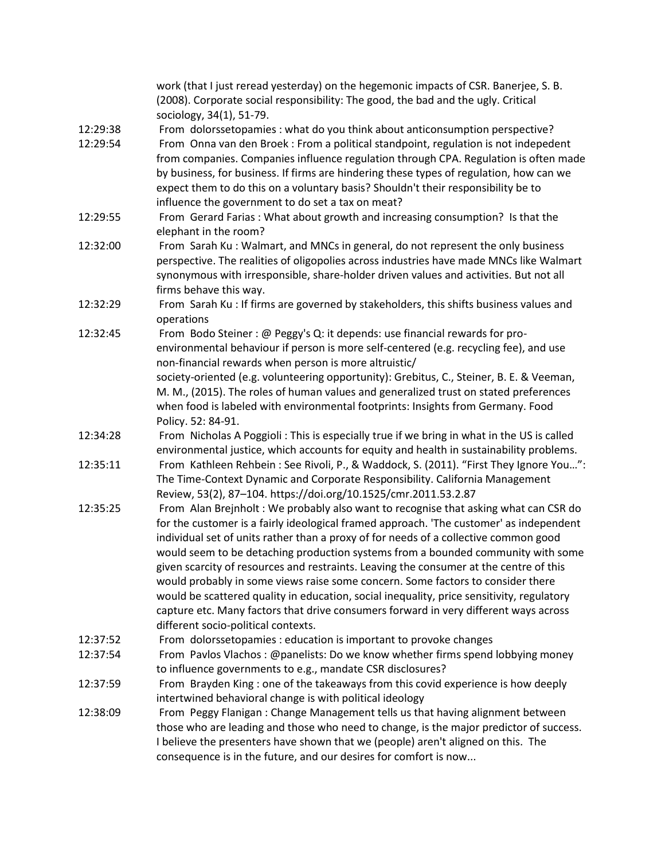|          | work (that I just reread yesterday) on the hegemonic impacts of CSR. Banerjee, S. B.<br>(2008). Corporate social responsibility: The good, the bad and the ugly. Critical                                                                                                                                                                                                                                                                                                                                                               |
|----------|-----------------------------------------------------------------------------------------------------------------------------------------------------------------------------------------------------------------------------------------------------------------------------------------------------------------------------------------------------------------------------------------------------------------------------------------------------------------------------------------------------------------------------------------|
| 12:29:38 | sociology, 34(1), 51-79.                                                                                                                                                                                                                                                                                                                                                                                                                                                                                                                |
| 12:29:54 | From dolorssetopamies : what do you think about anticonsumption perspective?<br>From Onna van den Broek : From a political standpoint, regulation is not indepedent<br>from companies. Companies influence regulation through CPA. Regulation is often made                                                                                                                                                                                                                                                                             |
|          | by business, for business. If firms are hindering these types of regulation, how can we<br>expect them to do this on a voluntary basis? Shouldn't their responsibility be to                                                                                                                                                                                                                                                                                                                                                            |
|          | influence the government to do set a tax on meat?                                                                                                                                                                                                                                                                                                                                                                                                                                                                                       |
| 12:29:55 | From Gerard Farias: What about growth and increasing consumption? Is that the<br>elephant in the room?                                                                                                                                                                                                                                                                                                                                                                                                                                  |
| 12:32:00 | From Sarah Ku: Walmart, and MNCs in general, do not represent the only business<br>perspective. The realities of oligopolies across industries have made MNCs like Walmart<br>synonymous with irresponsible, share-holder driven values and activities. But not all<br>firms behave this way.                                                                                                                                                                                                                                           |
| 12:32:29 | From Sarah Ku: If firms are governed by stakeholders, this shifts business values and<br>operations                                                                                                                                                                                                                                                                                                                                                                                                                                     |
| 12:32:45 | From Bodo Steiner: @ Peggy's Q: it depends: use financial rewards for pro-<br>environmental behaviour if person is more self-centered (e.g. recycling fee), and use<br>non-financial rewards when person is more altruistic/                                                                                                                                                                                                                                                                                                            |
|          | society-oriented (e.g. volunteering opportunity): Grebitus, C., Steiner, B. E. & Veeman,<br>M. M., (2015). The roles of human values and generalized trust on stated preferences<br>when food is labeled with environmental footprints: Insights from Germany. Food<br>Policy. 52: 84-91.                                                                                                                                                                                                                                               |
| 12:34:28 | From Nicholas A Poggioli: This is especially true if we bring in what in the US is called<br>environmental justice, which accounts for equity and health in sustainability problems.                                                                                                                                                                                                                                                                                                                                                    |
| 12:35:11 | From Kathleen Rehbein : See Rivoli, P., & Waddock, S. (2011). "First They Ignore You":<br>The Time-Context Dynamic and Corporate Responsibility. California Management<br>Review, 53(2), 87-104. https://doi.org/10.1525/cmr.2011.53.2.87                                                                                                                                                                                                                                                                                               |
| 12:35:25 | From Alan Brejnholt: We probably also want to recognise that asking what can CSR do<br>for the customer is a fairly ideological framed approach. 'The customer' as independent<br>individual set of units rather than a proxy of for needs of a collective common good<br>would seem to be detaching production systems from a bounded community with some<br>given scarcity of resources and restraints. Leaving the consumer at the centre of this<br>would probably in some views raise some concern. Some factors to consider there |
|          | would be scattered quality in education, social inequality, price sensitivity, regulatory<br>capture etc. Many factors that drive consumers forward in very different ways across<br>different socio-political contexts.                                                                                                                                                                                                                                                                                                                |
| 12:37:52 | From dolorssetopamies : education is important to provoke changes                                                                                                                                                                                                                                                                                                                                                                                                                                                                       |
| 12:37:54 | From Pavlos Vlachos: @panelists: Do we know whether firms spend lobbying money                                                                                                                                                                                                                                                                                                                                                                                                                                                          |
|          | to influence governments to e.g., mandate CSR disclosures?                                                                                                                                                                                                                                                                                                                                                                                                                                                                              |
| 12:37:59 | From Brayden King: one of the takeaways from this covid experience is how deeply<br>intertwined behavioral change is with political ideology                                                                                                                                                                                                                                                                                                                                                                                            |
| 12:38:09 | From Peggy Flanigan: Change Management tells us that having alignment between<br>those who are leading and those who need to change, is the major predictor of success.<br>I believe the presenters have shown that we (people) aren't aligned on this. The<br>consequence is in the future, and our desires for comfort is now                                                                                                                                                                                                         |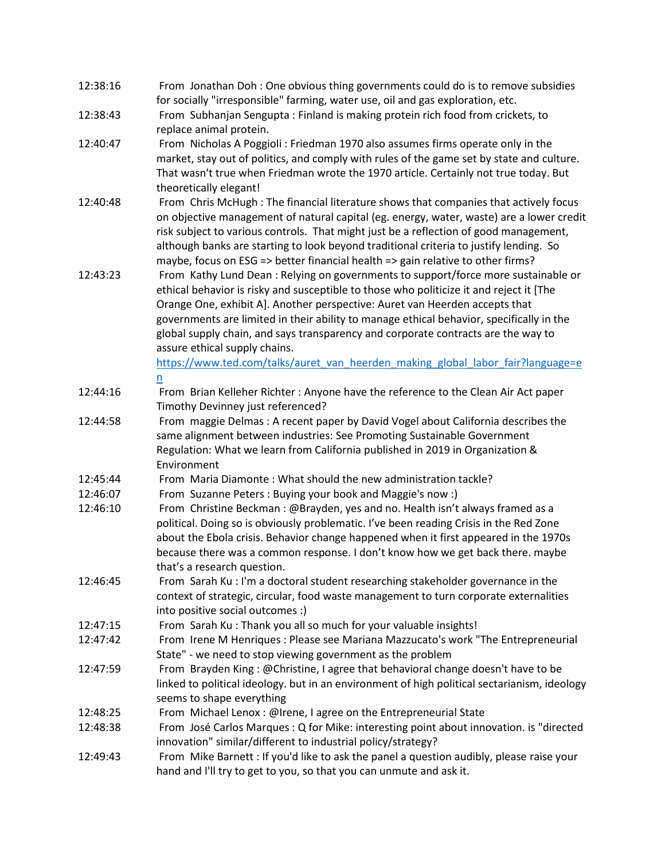| 12:38:16             | From Jonathan Doh: One obvious thing governments could do is to remove subsidies                                                                                                 |
|----------------------|----------------------------------------------------------------------------------------------------------------------------------------------------------------------------------|
|                      | for socially "irresponsible" farming, water use, oil and gas exploration, etc.                                                                                                   |
| 12:38:43             | From Subhanjan Sengupta: Finland is making protein rich food from crickets, to<br>replace animal protein.                                                                        |
| 12:40:47             | From Nicholas A Poggioli: Friedman 1970 also assumes firms operate only in the                                                                                                   |
|                      | market, stay out of politics, and comply with rules of the game set by state and culture.                                                                                        |
|                      | That wasn't true when Friedman wrote the 1970 article. Certainly not true today. But                                                                                             |
|                      | theoretically elegant!                                                                                                                                                           |
| 12:40:48             | From Chris McHugh : The financial literature shows that companies that actively focus                                                                                            |
|                      | on objective management of natural capital (eg. energy, water, waste) are a lower credit                                                                                         |
|                      | risk subject to various controls. That might just be a reflection of good management,                                                                                            |
|                      | although banks are starting to look beyond traditional criteria to justify lending. So                                                                                           |
|                      | maybe, focus on ESG => better financial health => gain relative to other firms?                                                                                                  |
| 12:43:23             | From Kathy Lund Dean: Relying on governments to support/force more sustainable or                                                                                                |
|                      | ethical behavior is risky and susceptible to those who politicize it and reject it [The                                                                                          |
|                      | Orange One, exhibit A]. Another perspective: Auret van Heerden accepts that                                                                                                      |
|                      | governments are limited in their ability to manage ethical behavior, specifically in the                                                                                         |
|                      | global supply chain, and says transparency and corporate contracts are the way to                                                                                                |
|                      | assure ethical supply chains.                                                                                                                                                    |
|                      | https://www.ted.com/talks/auret van heerden making global labor fair?language=e                                                                                                  |
|                      | <u>n</u>                                                                                                                                                                         |
| 12:44:16             | From Brian Kelleher Richter: Anyone have the reference to the Clean Air Act paper                                                                                                |
|                      | Timothy Devinney just referenced?                                                                                                                                                |
| 12:44:58             | From maggie Delmas: A recent paper by David Vogel about California describes the                                                                                                 |
|                      | same alignment between industries: See Promoting Sustainable Government                                                                                                          |
|                      | Regulation: What we learn from California published in 2019 in Organization &                                                                                                    |
|                      | Environment                                                                                                                                                                      |
| 12:45:44             | From Maria Diamonte: What should the new administration tackle?                                                                                                                  |
| 12:46:07             | From Suzanne Peters: Buying your book and Maggie's now :)                                                                                                                        |
| 12:46:10             | From Christine Beckman: @Brayden, yes and no. Health isn't always framed as a                                                                                                    |
|                      | political. Doing so is obviously problematic. I've been reading Crisis in the Red Zone                                                                                           |
|                      | about the Ebola crisis. Behavior change happened when it first appeared in the 1970s                                                                                             |
|                      | because there was a common response. I don't know how we get back there. maybe                                                                                                   |
|                      | that's a research question.                                                                                                                                                      |
| 12:46:45             | From Sarah Ku: I'm a doctoral student researching stakeholder governance in the                                                                                                  |
|                      | context of strategic, circular, food waste management to turn corporate externalities                                                                                            |
|                      | into positive social outcomes :)                                                                                                                                                 |
| 12:47:15             | From Sarah Ku: Thank you all so much for your valuable insights!                                                                                                                 |
| 12:47:42             | From Irene M Henriques : Please see Mariana Mazzucato's work "The Entrepreneurial                                                                                                |
| 12:47:59             | State" - we need to stop viewing government as the problem                                                                                                                       |
|                      | From Brayden King: @Christine, I agree that behavioral change doesn't have to be<br>linked to political ideology. but in an environment of high political sectarianism, ideology |
|                      | seems to shape everything                                                                                                                                                        |
|                      |                                                                                                                                                                                  |
| 12:48:25<br>12:48:38 | From Michael Lenox: @Irene, I agree on the Entrepreneurial State<br>From José Carlos Marques : Q for Mike: interesting point about innovation. is "directed                      |
|                      | innovation" similar/different to industrial policy/strategy?                                                                                                                     |
| 12:49:43             | From Mike Barnett : If you'd like to ask the panel a question audibly, please raise your                                                                                         |
|                      | hand and I'll try to get to you, so that you can unmute and ask it.                                                                                                              |
|                      |                                                                                                                                                                                  |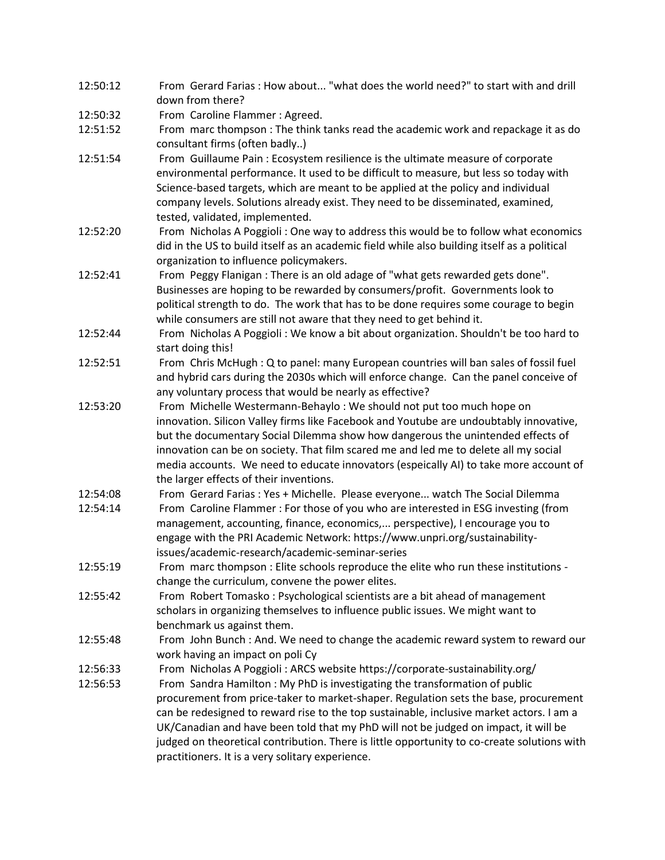| From Gerard Farias: How about "what does the world need?" to start with and drill                                                                                                                                                                                                                                                                                                                                                                                                                        |
|----------------------------------------------------------------------------------------------------------------------------------------------------------------------------------------------------------------------------------------------------------------------------------------------------------------------------------------------------------------------------------------------------------------------------------------------------------------------------------------------------------|
| down from there?                                                                                                                                                                                                                                                                                                                                                                                                                                                                                         |
| From Caroline Flammer: Agreed.                                                                                                                                                                                                                                                                                                                                                                                                                                                                           |
| From marc thompson: The think tanks read the academic work and repackage it as do<br>consultant firms (often badly)                                                                                                                                                                                                                                                                                                                                                                                      |
| From Guillaume Pain: Ecosystem resilience is the ultimate measure of corporate<br>environmental performance. It used to be difficult to measure, but less so today with<br>Science-based targets, which are meant to be applied at the policy and individual<br>company levels. Solutions already exist. They need to be disseminated, examined,<br>tested, validated, implemented.                                                                                                                      |
| From Nicholas A Poggioli: One way to address this would be to follow what economics<br>did in the US to build itself as an academic field while also building itself as a political<br>organization to influence policymakers.                                                                                                                                                                                                                                                                           |
| From Peggy Flanigan: There is an old adage of "what gets rewarded gets done".<br>Businesses are hoping to be rewarded by consumers/profit. Governments look to<br>political strength to do. The work that has to be done requires some courage to begin<br>while consumers are still not aware that they need to get behind it.                                                                                                                                                                          |
| From Nicholas A Poggioli: We know a bit about organization. Shouldn't be too hard to<br>start doing this!                                                                                                                                                                                                                                                                                                                                                                                                |
| From Chris McHugh: Q to panel: many European countries will ban sales of fossil fuel<br>and hybrid cars during the 2030s which will enforce change. Can the panel conceive of<br>any voluntary process that would be nearly as effective?                                                                                                                                                                                                                                                                |
| From Michelle Westermann-Behaylo: We should not put too much hope on<br>innovation. Silicon Valley firms like Facebook and Youtube are undoubtably innovative,<br>but the documentary Social Dilemma show how dangerous the unintended effects of<br>innovation can be on society. That film scared me and led me to delete all my social<br>media accounts. We need to educate innovators (espeically AI) to take more account of<br>the larger effects of their inventions.                            |
| From Gerard Farias: Yes + Michelle. Please everyone watch The Social Dilemma                                                                                                                                                                                                                                                                                                                                                                                                                             |
| From Caroline Flammer: For those of you who are interested in ESG investing (from<br>management, accounting, finance, economics, perspective), I encourage you to<br>engage with the PRI Academic Network: https://www.unpri.org/sustainability-<br>issues/academic-research/academic-seminar-series                                                                                                                                                                                                     |
| From marc thompson : Elite schools reproduce the elite who run these institutions -<br>change the curriculum, convene the power elites.                                                                                                                                                                                                                                                                                                                                                                  |
| From Robert Tomasko: Psychological scientists are a bit ahead of management<br>scholars in organizing themselves to influence public issues. We might want to<br>benchmark us against them.                                                                                                                                                                                                                                                                                                              |
| From John Bunch: And. We need to change the academic reward system to reward our<br>work having an impact on poli Cy                                                                                                                                                                                                                                                                                                                                                                                     |
| From Nicholas A Poggioli: ARCS website https://corporate-sustainability.org/                                                                                                                                                                                                                                                                                                                                                                                                                             |
| From Sandra Hamilton: My PhD is investigating the transformation of public<br>procurement from price-taker to market-shaper. Regulation sets the base, procurement<br>can be redesigned to reward rise to the top sustainable, inclusive market actors. I am a<br>UK/Canadian and have been told that my PhD will not be judged on impact, it will be<br>judged on theoretical contribution. There is little opportunity to co-create solutions with<br>practitioners. It is a very solitary experience. |
|                                                                                                                                                                                                                                                                                                                                                                                                                                                                                                          |